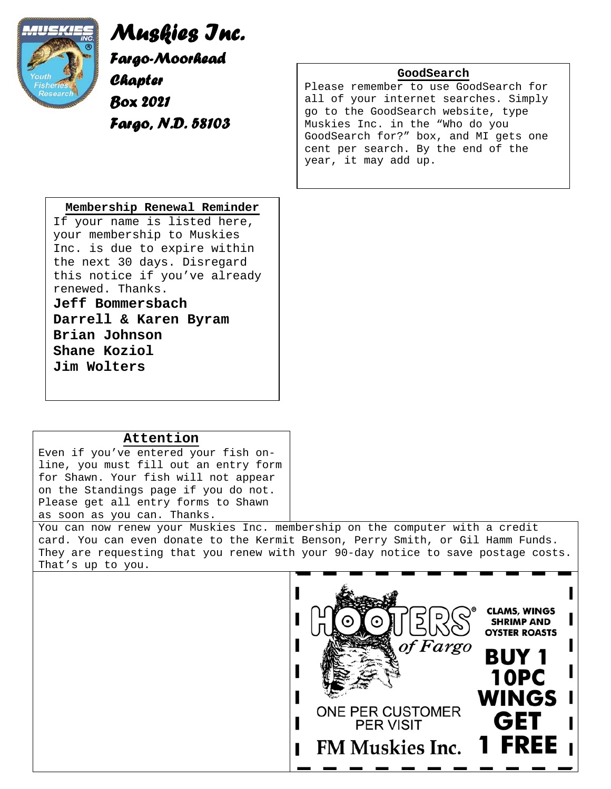

*Muskies Inc. Fargo-Moorhead Chapter Box 2021 Fargo, N.D. 58103*

## **GoodSearch**

Please remember to use GoodSearch for all of your internet searches. Simply go to the GoodSearch website, type Muskies Inc. in the "Who do you GoodSearch for?" box, and MI gets one cent per search. By the end of the year, it may add up.

## **Membership Renewal Reminder**

If your name is listed here, your membership to Muskies Inc. is due to expire within the next 30 days. Disregard this notice if you've already renewed. Thanks.

**Jeff Bommersbach** 

**Darrell & Karen Byram Brian Johnson Shane Koziol Jim Wolters**

## **Attention**

Even if you've entered your fish online, you must fill out an entry form for Shawn. Your fish will not appear on the Standings page if you do not. Please get all entry forms to Shawn as soon as you can. Thanks.

You can now renew your Muskies Inc. membership on the computer with a credit card. You can even donate to the Kermit Benson, Perry Smith, or Gil Hamm Funds. They are requesting that you renew with your 90-day notice to save postage costs. That's up to you.

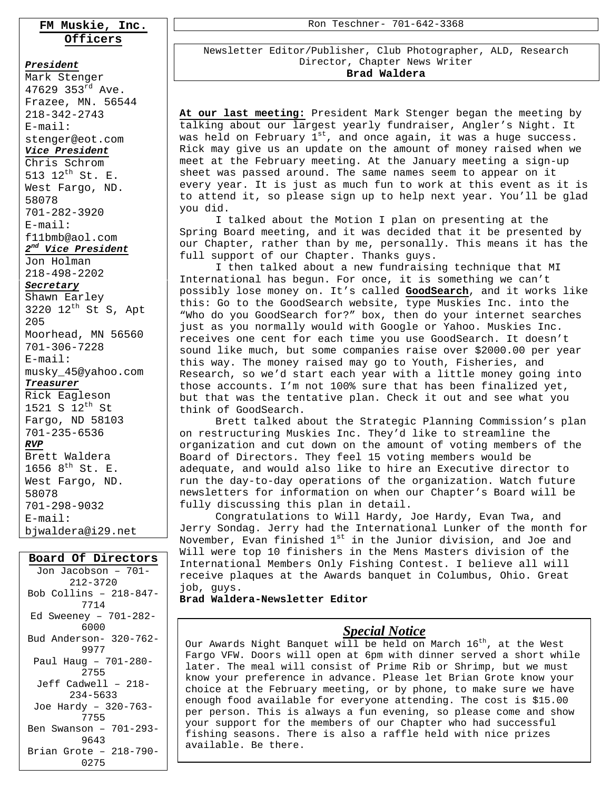## **FM Muskie, Inc. Officers**

#### *President*

Mark Stenger 47629 353 $^{rd}$  Ave. Frazee, MN. 56544 218-342-2743 E-mail: stenger@eot.com *Vice President* Chris Schrom 513 12th St. E. West Fargo, ND. 58078 701-282-3920 E-mail: f11bmb@aol.com *2nd Vice President*

Jon Holman 218-498-2202

### *Secretary*

Shawn Earley 3220  $12^{th}$  St S, Apt 205 Moorhead, MN 56560 701-306-7228

## E-mail:

musky\_45@yahoo.com *Treasurer*

Rick Eagleson 1521 S  $12^{th}$  St Fargo, ND 58103 701-235-6536 *RVP* Brett Waldera 1656  $8^{th}$  St. E. West Fargo, ND. 58078 701-298-9032 E-mail:

## bjwaldera@i29.net

## **Board Of Directors**

Jon Jacobson – 701- 212-3720 Bob Collins – 218-847- 7714 Ed Sweeney – 701-282- 6000 Bud Anderson- 320-762- 9977 Paul Haug – 701-280- 2755 Jeff Cadwell – 218- 234-5633 Joe Hardy – 320-763- 7755 Ben Swanson – 701-293- 9643 Brian Grote – 218-790- 0275

Ron Teschner- 701-642-3368

Newsletter Editor/Publisher, Club Photographer, ALD, Research Director, Chapter News Writer **Brad Waldera** 

**At our last meeting:** President Mark Stenger began the meeting by talking about our largest yearly fundraiser, Angler's Night. It was held on February  $1^{st}$ , and once again, it was a huge success. Rick may give us an update on the amount of money raised when we meet at the February meeting. At the January meeting a sign-up sheet was passed around. The same names seem to appear on it every year. It is just as much fun to work at this event as it is to attend it, so please sign up to help next year. You'll be glad you did.

I talked about the Motion I plan on presenting at the Spring Board meeting, and it was decided that it be presented by our Chapter, rather than by me, personally. This means it has the full support of our Chapter. Thanks guys.

I then talked about a new fundraising technique that MI International has begun. For once, it is something we can't possibly lose money on. It's called **GoodSearch**, and it works like this: Go to the GoodSearch website, type Muskies Inc. into the "Who do you GoodSearch for?" box, then do your internet searches just as you normally would with Google or Yahoo. Muskies Inc. receives one cent for each time you use GoodSearch. It doesn't sound like much, but some companies raise over \$2000.00 per year this way. The money raised may go to Youth, Fisheries, and Research, so we'd start each year with a little money going into those accounts. I'm not 100% sure that has been finalized yet, but that was the tentative plan. Check it out and see what you think of GoodSearch.

Brett talked about the Strategic Planning Commission's plan on restructuring Muskies Inc. They'd like to streamline the organization and cut down on the amount of voting members of the Board of Directors. They feel 15 voting members would be adequate, and would also like to hire an Executive director to run the day-to-day operations of the organization. Watch future newsletters for information on when our Chapter's Board will be fully discussing this plan in detail.

Congratulations to Will Hardy, Joe Hardy, Evan Twa, and Jerry Sondag. Jerry had the International Lunker of the month for November, Evan finished 1<sup>st</sup> in the Junior division, and Joe and Will were top 10 finishers in the Mens Masters division of the International Members Only Fishing Contest. I believe all will receive plaques at the Awards banquet in Columbus, Ohio. Great job, guys.

**Brad Waldera-Newsletter Editor**

#### **At the next meeting:** Our speaker wasn't confirmed by the time the this newsletter went to print. There will be plenty to talk about the plenty to talk about the plenty to talk about the plenty of the plenty of the plenty of the plenty of the plenty of the plenty of the plenty of the *Special Notice*

Our Awards Night Banquet will be held on March 16<sup>th</sup>, at the West Fargo VFW. Doors will open at 6pm with dinner served a short while later. The meal will consist of Prime Rib or Shrimp, but we must know your preference in advance. Please let Brian Grote know your choice at the February meeting, or by phone, to make sure we have enough food available for everyone attending. The cost is \$15.00 per person. This is always a fun evening, so please come and show your support for the members of our Chapter who had successful fishing seasons. There is also a raffle held with nice prizes available. Be there.